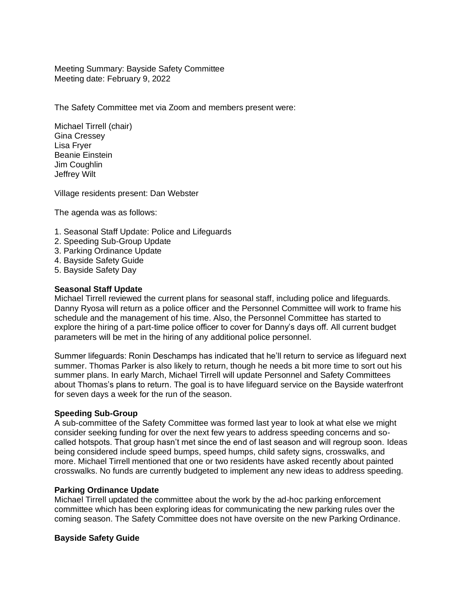Meeting Summary: Bayside Safety Committee Meeting date: February 9, 2022

The Safety Committee met via Zoom and members present were:

Michael Tirrell (chair) Gina Cressey Lisa Fryer Beanie Einstein Jim Coughlin Jeffrey Wilt

Village residents present: Dan Webster

The agenda was as follows:

- 1. Seasonal Staff Update: Police and Lifeguards
- 2. Speeding Sub-Group Update
- 3. Parking Ordinance Update
- 4. Bayside Safety Guide
- 5. Bayside Safety Day

## **Seasonal Staff Update**

Michael Tirrell reviewed the current plans for seasonal staff, including police and lifeguards. Danny Ryosa will return as a police officer and the Personnel Committee will work to frame his schedule and the management of his time. Also, the Personnel Committee has started to explore the hiring of a part-time police officer to cover for Danny's days off. All current budget parameters will be met in the hiring of any additional police personnel.

Summer lifeguards: Ronin Deschamps has indicated that he'll return to service as lifeguard next summer. Thomas Parker is also likely to return, though he needs a bit more time to sort out his summer plans. In early March, Michael Tirrell will update Personnel and Safety Committees about Thomas's plans to return. The goal is to have lifeguard service on the Bayside waterfront for seven days a week for the run of the season.

## **Speeding Sub-Group**

A sub-committee of the Safety Committee was formed last year to look at what else we might consider seeking funding for over the next few years to address speeding concerns and socalled hotspots. That group hasn't met since the end of last season and will regroup soon. Ideas being considered include speed bumps, speed humps, child safety signs, crosswalks, and more. Michael Tirrell mentioned that one or two residents have asked recently about painted crosswalks. No funds are currently budgeted to implement any new ideas to address speeding.

#### **Parking Ordinance Update**

Michael Tirrell updated the committee about the work by the ad-hoc parking enforcement committee which has been exploring ideas for communicating the new parking rules over the coming season. The Safety Committee does not have oversite on the new Parking Ordinance.

## **Bayside Safety Guide**